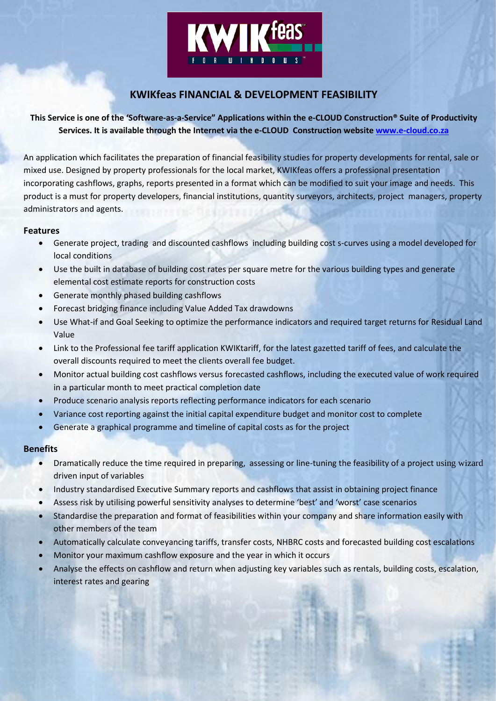

# **KWIKfeas FINANCIAL & DEVELOPMENT FEASIBILITY**

# **This Service is one of the 'Software-as-a-Service" Applications within the e-CLOUD Construction® Suite of Productivity Services. It is available through the Internet via the e-CLOUD Construction website [www.e-cloud.co.za](http://www.e-cloud.co.za/)**

An application which facilitates the preparation of financial feasibility studies for property developments for rental, sale or mixed use. Designed by property professionals for the local market, KWIKfeas offers a professional presentation incorporating cashflows, graphs, reports presented in a format which can be modified to suit your image and needs. This product is a must for property developers, financial institutions, quantity surveyors, architects, project managers, property administrators and agents.

# **Features**

- Generate project, trading and discounted cashflows including building cost s-curves using a model developed for local conditions
- Use the built in database of building cost rates per square metre for the various building types and generate elemental cost estimate reports for construction costs
- Generate monthly phased building cashflows
- Forecast bridging finance including Value Added Tax drawdowns
- Use What-if and Goal Seeking to optimize the performance indicators and required target returns for Residual Land Value
- Link to the Professional fee tariff application KWIKtariff, for the latest gazetted tariff of fees, and calculate the overall discounts required to meet the clients overall fee budget.
- Monitor actual building cost cashflows versus forecasted cashflows, including the executed value of work required in a particular month to meet practical completion date
- Produce scenario analysis reports reflecting performance indicators for each scenario
- Variance cost reporting against the initial capital expenditure budget and monitor cost to complete
- Generate a graphical programme and timeline of capital costs as for the project

# **Benefits**

- Dramatically reduce the time required in preparing, assessing or line-tuning the feasibility of a project using wizard driven input of variables
- Industry standardised Executive Summary reports and cashflows that assist in obtaining project finance
- Assess risk by utilising powerful sensitivity analyses to determine 'best' and 'worst' case scenarios
- Standardise the preparation and format of feasibilities within your company and share information easily with other members of the team
- Automatically calculate conveyancing tariffs, transfer costs, NHBRC costs and forecasted building cost escalations
- Monitor your maximum cashflow exposure and the year in which it occurs
- Analyse the effects on cashflow and return when adjusting key variables such as rentals, building costs, escalation, interest rates and gearing